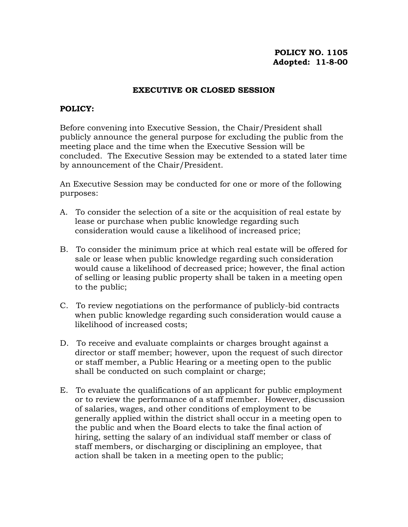## **POLICY NO. 1105 Adopted: 11-8-00**

## **EXECUTIVE OR CLOSED SESSION**

## **POLICY:**

Before convening into Executive Session, the Chair/President shall publicly announce the general purpose for excluding the public from the meeting place and the time when the Executive Session will be concluded. The Executive Session may be extended to a stated later time by announcement of the Chair/President.

An Executive Session may be conducted for one or more of the following purposes:

- A. To consider the selection of a site or the acquisition of real estate by lease or purchase when public knowledge regarding such consideration would cause a likelihood of increased price;
- B. To consider the minimum price at which real estate will be offered for sale or lease when public knowledge regarding such consideration would cause a likelihood of decreased price; however, the final action of selling or leasing public property shall be taken in a meeting open to the public;
- C. To review negotiations on the performance of publicly-bid contracts when public knowledge regarding such consideration would cause a likelihood of increased costs;
- D. To receive and evaluate complaints or charges brought against a director or staff member; however, upon the request of such director or staff member, a Public Hearing or a meeting open to the public shall be conducted on such complaint or charge;
- E. To evaluate the qualifications of an applicant for public employment or to review the performance of a staff member. However, discussion of salaries, wages, and other conditions of employment to be generally applied within the district shall occur in a meeting open to the public and when the Board elects to take the final action of hiring, setting the salary of an individual staff member or class of staff members, or discharging or disciplining an employee, that action shall be taken in a meeting open to the public;